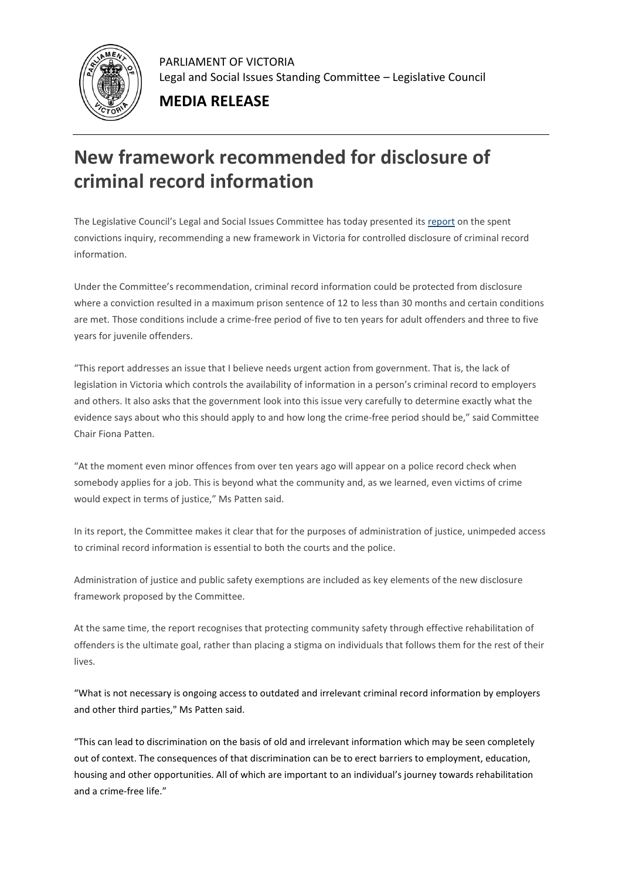

PARLIAMENT OF VICTORIA Legal and Social Issues Standing Committee – Legislative Council

## **MEDIA RELEASE**

## **New framework recommended for disclosure of criminal record information**

The Legislative Council's Legal and Social Issues Committee has today presented it[s report](https://parliamentofvictoria.cmail20.com/t/t-l-bitnhy-hrdrxhyy-r/) on the spent convictions inquiry, recommending a new framework in Victoria for controlled disclosure of criminal record information.

Under the Committee's recommendation, criminal record information could be protected from disclosure where a conviction resulted in a maximum prison sentence of 12 to less than 30 months and certain conditions are met. Those conditions include a crime-free period of five to ten years for adult offenders and three to five years for juvenile offenders.

"This report addresses an issue that I believe needs urgent action from government. That is, the lack of legislation in Victoria which controls the availability of information in a person's criminal record to employers and others. It also asks that the government look into this issue very carefully to determine exactly what the evidence says about who this should apply to and how long the crime-free period should be," said Committee Chair Fiona Patten.

"At the moment even minor offences from over ten years ago will appear on a police record check when somebody applies for a job. This is beyond what the community and, as we learned, even victims of crime would expect in terms of justice," Ms Patten said.

In its report, the Committee makes it clear that for the purposes of administration of justice, unimpeded access to criminal record information is essential to both the courts and the police.

Administration of justice and public safety exemptions are included as key elements of the new disclosure framework proposed by the Committee.

At the same time, the report recognises that protecting community safety through effective rehabilitation of offenders is the ultimate goal, rather than placing a stigma on individuals that follows them for the rest of their lives.

"What is not necessary is ongoing access to outdated and irrelevant criminal record information by employers and other third parties," Ms Patten said.

"This can lead to discrimination on the basis of old and irrelevant information which may be seen completely out of context. The consequences of that discrimination can be to erect barriers to employment, education, housing and other opportunities. All of which are important to an individual's journey towards rehabilitation and a crime-free life."